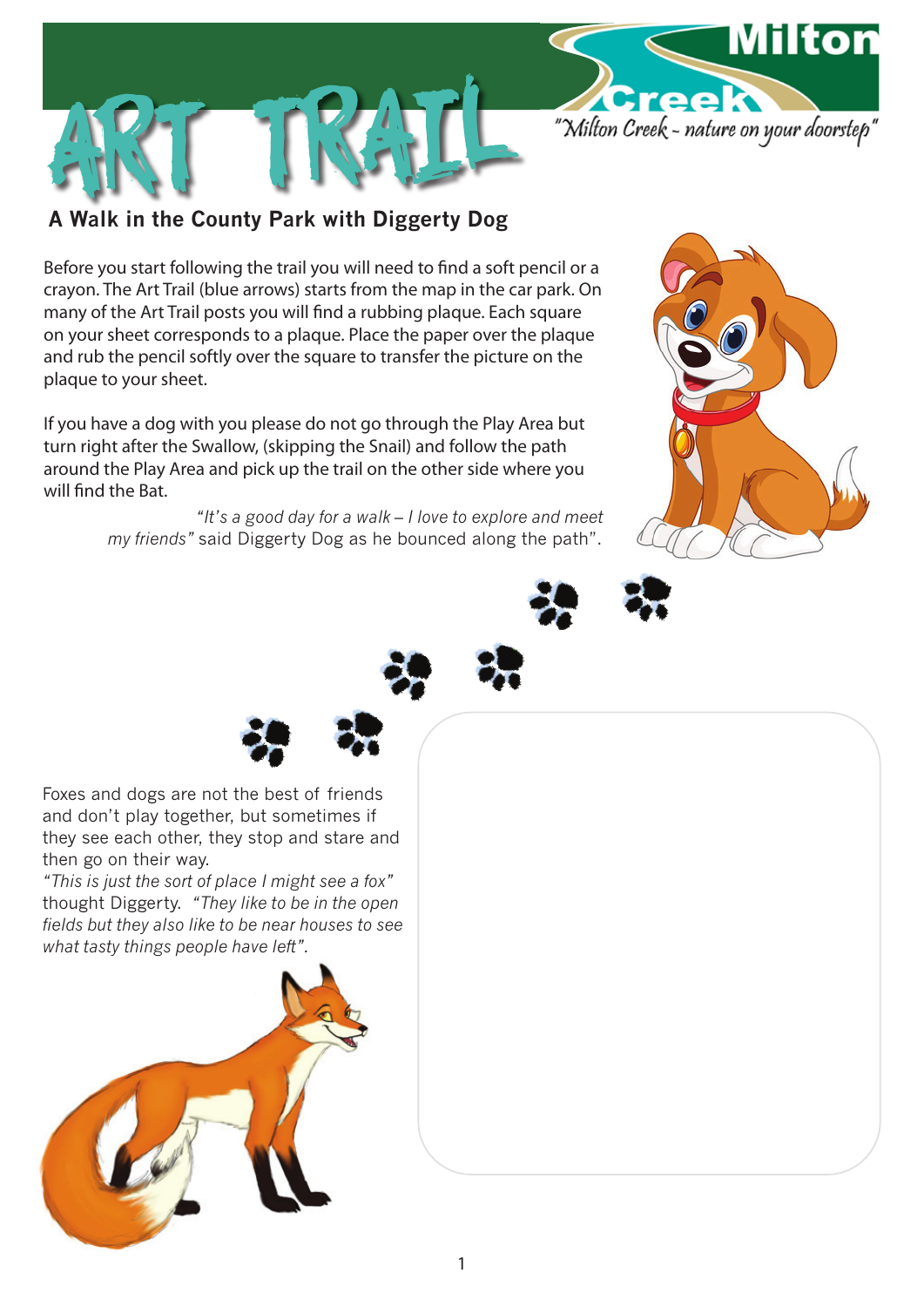

## **A Walk in the County Park with Diggerty Dog**

art Trail

Before you start following the trail you will need to find a soft pencil or a crayon. The Art Trail (blue arrows) starts from the map in the car park. On many of the Art Trail posts you will find a rubbing plaque. Each square on your sheet corresponds to a plaque. Place the paper over the plaque and rub the pencil softly over the square to transfer the picture on the plaque to your sheet.

If you have a dog with you please do not go through the Play Area but turn right after the Swallow, (skipping the Snail) and follow the path around the Play Area and pick up the trail on the other side where you will find the Bat.

> *"It's a good day for a walk – I love to explore and meet my friends"* said Diggerty Dog as he bounced along the path".











Foxes and dogs are not the best of friends and don't play together, but sometimes if they see each other, they stop and stare and then go on their way.

*"This is just the sort of place I might see a fox"* thought Diggerty. *"They like to be in the open fields but they also like to be near houses to see what tasty things people have left".*

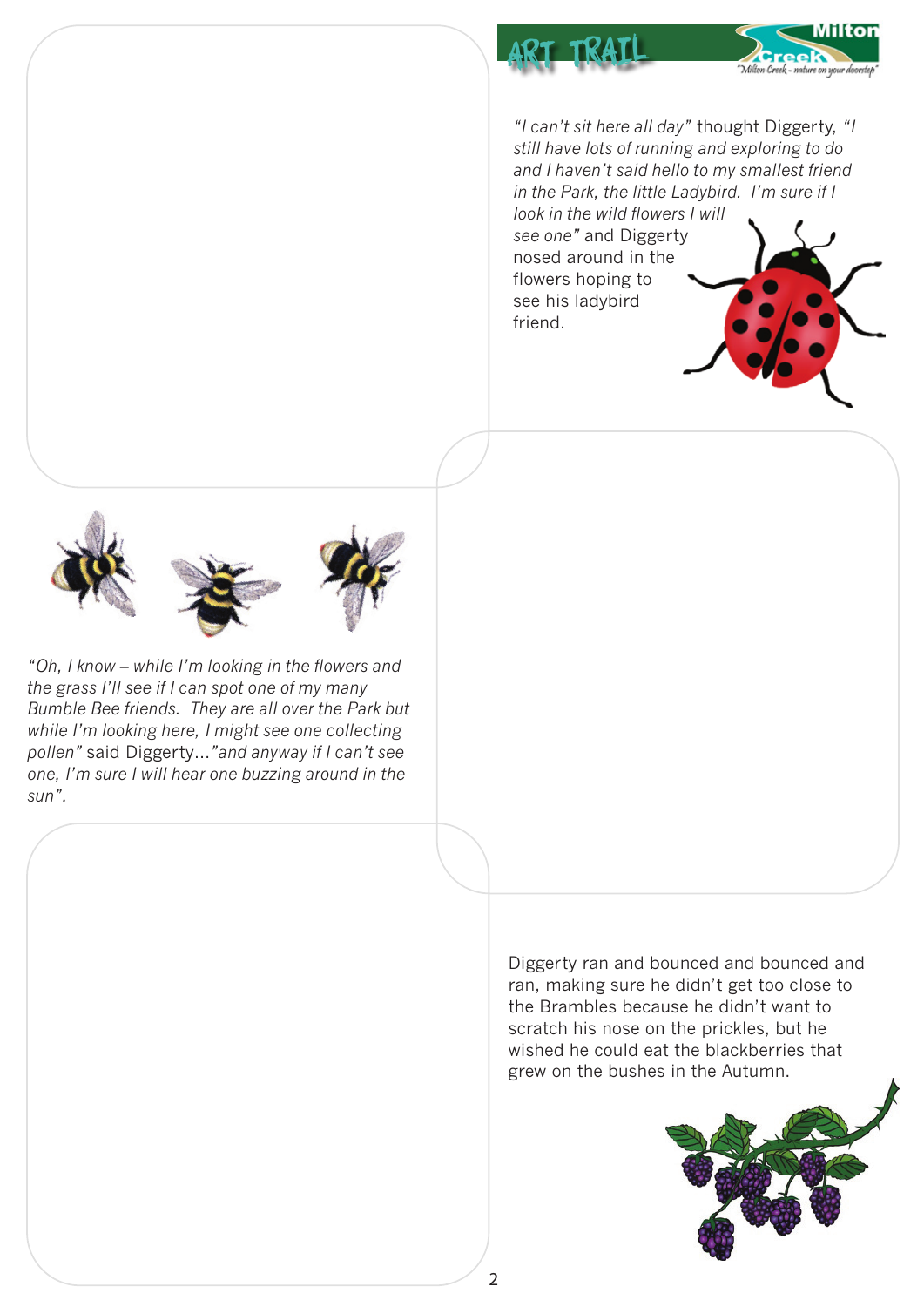

*"I can't sit here all day"* thought Diggerty, *"I still have lots of running and exploring to do and I haven't said hello to my smallest friend in the Park, the little Ladybird. I'm sure if I look in the wild flowers I will* 

*see one"* and Diggerty nosed around in the flowers hoping to see his ladybird friend.

art trail





*"Oh, I know – while I'm looking in the flowers and the grass I'll see if I can spot one of my many Bumble Bee friends. They are all over the Park but while I'm looking here, I might see one collecting pollen"* said Diggerty…*"and anyway if I can't see one, I'm sure I will hear one buzzing around in the sun".*

> Diggerty ran and bounced and bounced and ran, making sure he didn't get too close to the Brambles because he didn't want to scratch his nose on the prickles, but he wished he could eat the blackberries that grew on the bushes in the Autumn.

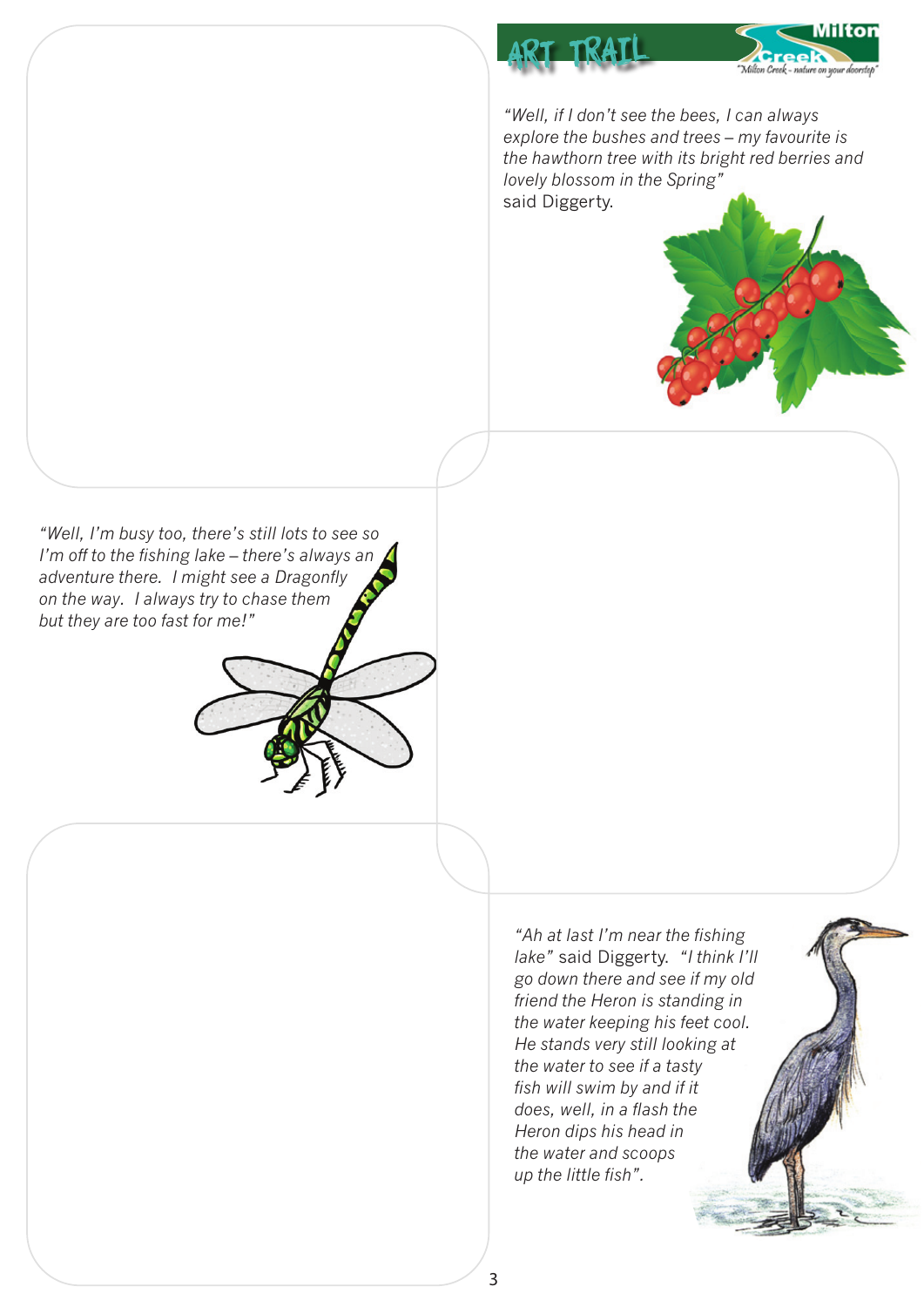

*"Well, if I don't see the bees, I can always explore the bushes and trees – my favourite is the hawthorn tree with its bright red berries and lovely blossom in the Spring"* said Diggerty.



*"Well, I'm busy too, there's still lots to see so I'm off to the fishing lake – there's always an adventure there. I might see a Dragonfly on the way. I always try to chase them but they are too fast for me!"*

> *"Ah at last I'm near the fishing lake"* said Diggerty. *"I think I'll go down there and see if my old friend the Heron is standing in the water keeping his feet cool. He stands very still looking at the water to see if a tasty fish will swim by and if it does, well, in a flash the Heron dips his head in the water and scoops up the little fish".*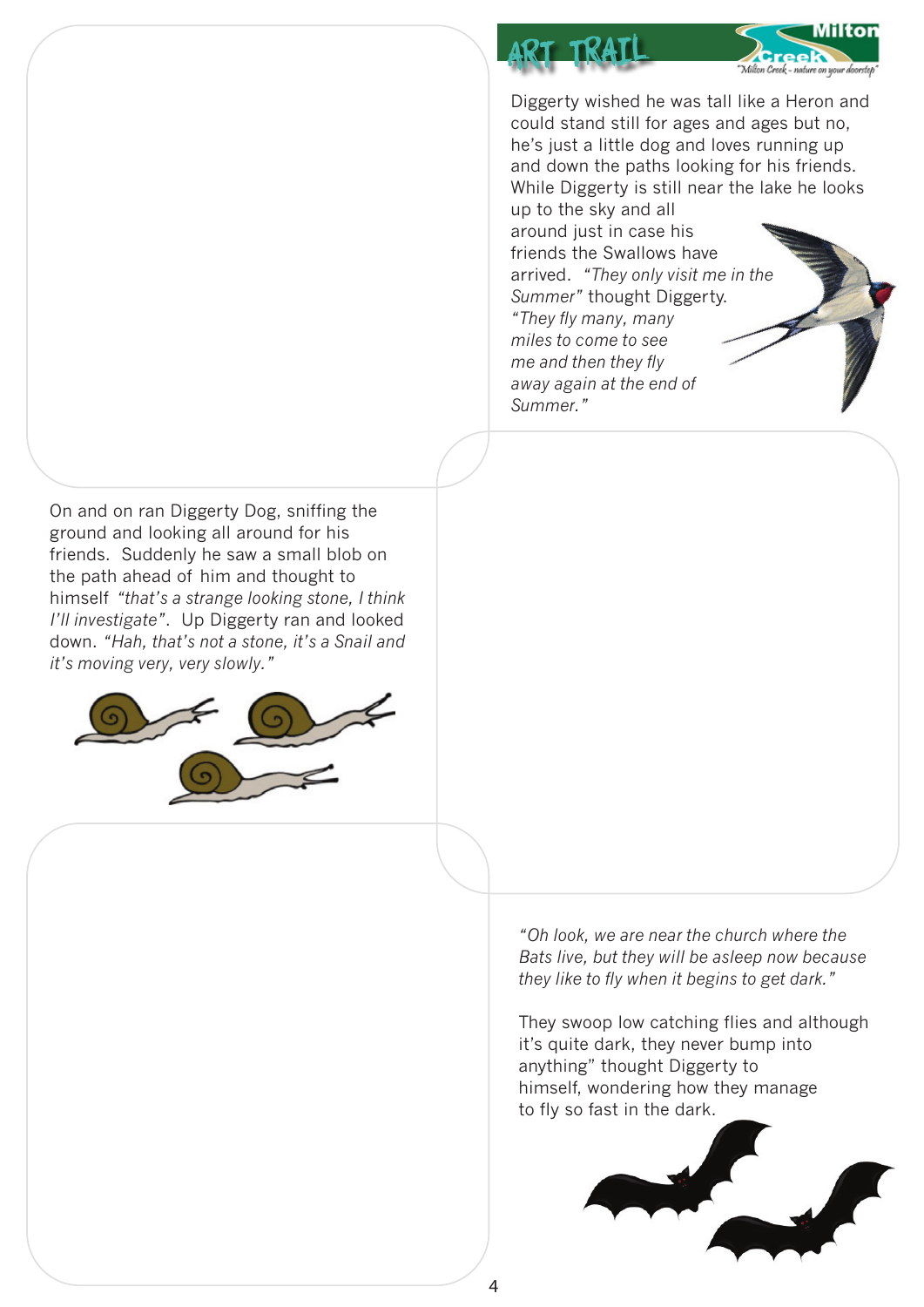Diggerty wished he was tall like a Heron and could stand still for ages and ages but no, he's just a little dog and loves running up and down the paths looking for his friends. While Diggerty is still near the lake he looks up to the sky and all

Milton

"Milton Creek - nature on your do

around just in case his friends the Swallows have arrived. *"They only visit me in the Summer"* thought Diggerty. *"They fly many, many miles to come to see me and then they fly away again at the end of Summer."*

r tra

On and on ran Diggerty Dog, sniffing the ground and looking all around for his friends. Suddenly he saw a small blob on the path ahead of him and thought to himself *"that's a strange looking stone, I think I'll investigate"*. Up Diggerty ran and looked down. *"Hah, that's not a stone, it's a Snail and it's moving very, very slowly."*



*"Oh look, we are near the church where the Bats live, but they will be asleep now because they like to fly when it begins to get dark."*

They swoop low catching flies and although it's quite dark, they never bump into anything" thought Diggerty to himself, wondering how they manage to fly so fast in the dark.